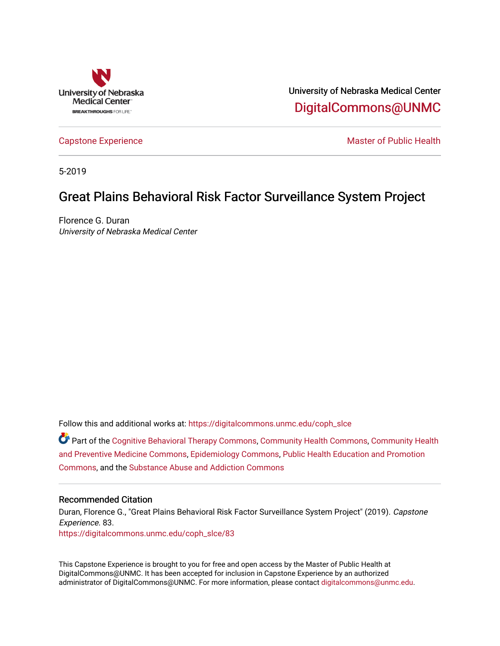

University of Nebraska Medical Center [DigitalCommons@UNMC](https://digitalcommons.unmc.edu/) 

[Capstone Experience](https://digitalcommons.unmc.edu/coph_slce) Master of Public Health

5-2019

# Great Plains Behavioral Risk Factor Surveillance System Project

Florence G. Duran University of Nebraska Medical Center

Follow this and additional works at: [https://digitalcommons.unmc.edu/coph\\_slce](https://digitalcommons.unmc.edu/coph_slce?utm_source=digitalcommons.unmc.edu%2Fcoph_slce%2F83&utm_medium=PDF&utm_campaign=PDFCoverPages) 

Part of the [Cognitive Behavioral Therapy Commons](http://network.bepress.com/hgg/discipline/1078?utm_source=digitalcommons.unmc.edu%2Fcoph_slce%2F83&utm_medium=PDF&utm_campaign=PDFCoverPages), [Community Health Commons](http://network.bepress.com/hgg/discipline/714?utm_source=digitalcommons.unmc.edu%2Fcoph_slce%2F83&utm_medium=PDF&utm_campaign=PDFCoverPages), [Community Health](http://network.bepress.com/hgg/discipline/744?utm_source=digitalcommons.unmc.edu%2Fcoph_slce%2F83&utm_medium=PDF&utm_campaign=PDFCoverPages) [and Preventive Medicine Commons,](http://network.bepress.com/hgg/discipline/744?utm_source=digitalcommons.unmc.edu%2Fcoph_slce%2F83&utm_medium=PDF&utm_campaign=PDFCoverPages) [Epidemiology Commons,](http://network.bepress.com/hgg/discipline/740?utm_source=digitalcommons.unmc.edu%2Fcoph_slce%2F83&utm_medium=PDF&utm_campaign=PDFCoverPages) [Public Health Education and Promotion](http://network.bepress.com/hgg/discipline/743?utm_source=digitalcommons.unmc.edu%2Fcoph_slce%2F83&utm_medium=PDF&utm_campaign=PDFCoverPages)  [Commons](http://network.bepress.com/hgg/discipline/743?utm_source=digitalcommons.unmc.edu%2Fcoph_slce%2F83&utm_medium=PDF&utm_campaign=PDFCoverPages), and the [Substance Abuse and Addiction Commons](http://network.bepress.com/hgg/discipline/710?utm_source=digitalcommons.unmc.edu%2Fcoph_slce%2F83&utm_medium=PDF&utm_campaign=PDFCoverPages)

## Recommended Citation

Duran, Florence G., "Great Plains Behavioral Risk Factor Surveillance System Project" (2019). Capstone Experience. 83. [https://digitalcommons.unmc.edu/coph\\_slce/83](https://digitalcommons.unmc.edu/coph_slce/83?utm_source=digitalcommons.unmc.edu%2Fcoph_slce%2F83&utm_medium=PDF&utm_campaign=PDFCoverPages)

This Capstone Experience is brought to you for free and open access by the Master of Public Health at DigitalCommons@UNMC. It has been accepted for inclusion in Capstone Experience by an authorized administrator of DigitalCommons@UNMC. For more information, please contact [digitalcommons@unmc.edu](mailto:digitalcommons@unmc.edu).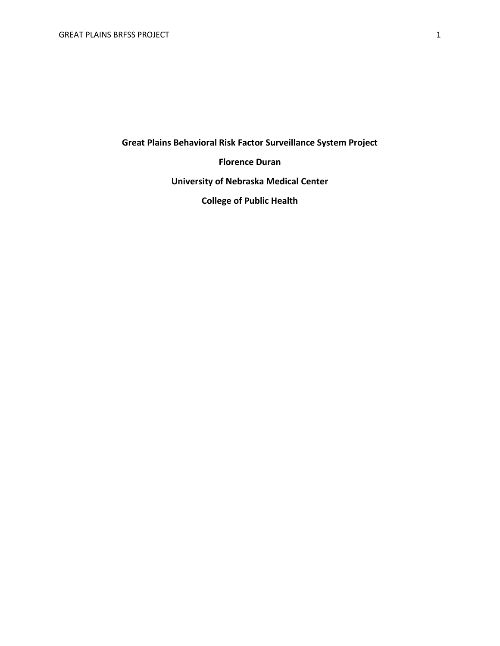**Great Plains Behavioral Risk Factor Surveillance System Project**

**Florence Duran**

**University of Nebraska Medical Center**

**College of Public Health**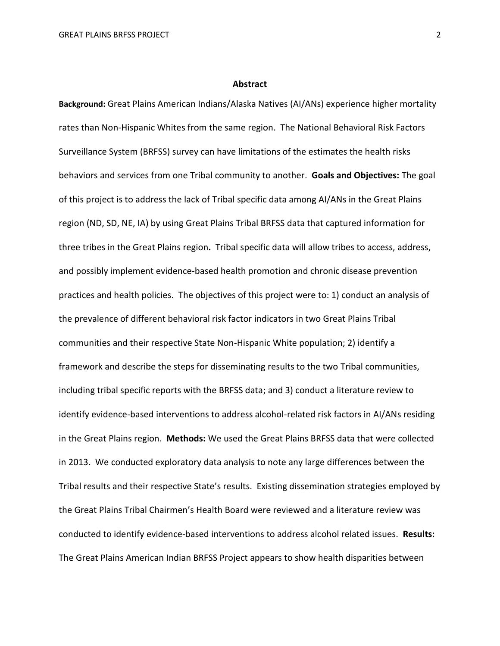#### **Abstract**

**Background:** Great Plains American Indians/Alaska Natives (AI/ANs) experience higher mortality rates than Non-Hispanic Whites from the same region. The National Behavioral Risk Factors Surveillance System (BRFSS) survey can have limitations of the estimates the health risks behaviors and services from one Tribal community to another. **Goals and Objectives:** The goal of this project is to address the lack of Tribal specific data among AI/ANs in the Great Plains region (ND, SD, NE, IA) by using Great Plains Tribal BRFSS data that captured information for three tribes in the Great Plains region**.** Tribal specific data will allow tribes to access, address, and possibly implement evidence-based health promotion and chronic disease prevention practices and health policies. The objectives of this project were to: 1) conduct an analysis of the prevalence of different behavioral risk factor indicators in two Great Plains Tribal communities and their respective State Non-Hispanic White population; 2) identify a framework and describe the steps for disseminating results to the two Tribal communities, including tribal specific reports with the BRFSS data; and 3) conduct a literature review to identify evidence-based interventions to address alcohol-related risk factors in AI/ANs residing in the Great Plains region. **Methods:** We used the Great Plains BRFSS data that were collected in 2013. We conducted exploratory data analysis to note any large differences between the Tribal results and their respective State's results. Existing dissemination strategies employed by the Great Plains Tribal Chairmen's Health Board were reviewed and a literature review was conducted to identify evidence-based interventions to address alcohol related issues. **Results:**  The Great Plains American Indian BRFSS Project appears to show health disparities between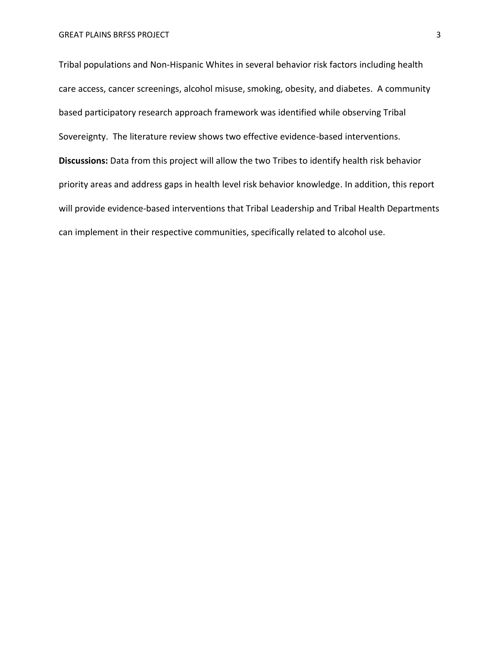Tribal populations and Non-Hispanic Whites in several behavior risk factors including health care access, cancer screenings, alcohol misuse, smoking, obesity, and diabetes. A community based participatory research approach framework was identified while observing Tribal Sovereignty. The literature review shows two effective evidence-based interventions. **Discussions:** Data from this project will allow the two Tribes to identify health risk behavior priority areas and address gaps in health level risk behavior knowledge. In addition, this report will provide evidence-based interventions that Tribal Leadership and Tribal Health Departments can implement in their respective communities, specifically related to alcohol use.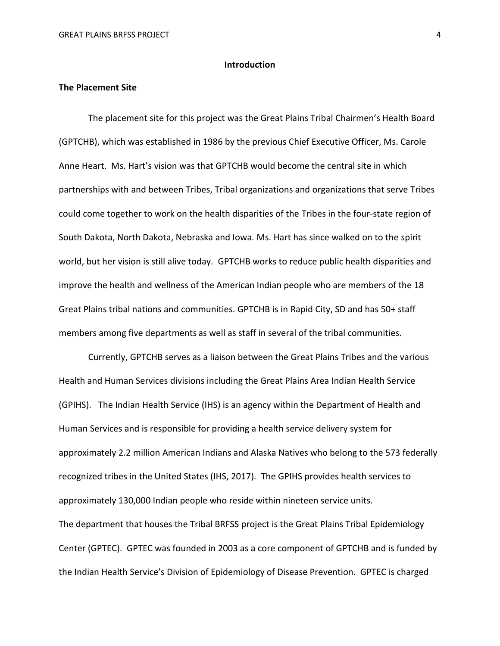#### **Introduction**

# **The Placement Site**

The placement site for this project was the Great Plains Tribal Chairmen's Health Board (GPTCHB), which was established in 1986 by the previous Chief Executive Officer, Ms. Carole Anne Heart. Ms. Hart's vision was that GPTCHB would become the central site in which partnerships with and between Tribes, Tribal organizations and organizations that serve Tribes could come together to work on the health disparities of the Tribes in the four-state region of South Dakota, North Dakota, Nebraska and Iowa. Ms. Hart has since walked on to the spirit world, but her vision is still alive today. GPTCHB works to reduce public health disparities and improve the health and wellness of the American Indian people who are members of the 18 Great Plains tribal nations and communities. GPTCHB is in Rapid City, SD and has 50+ staff members among five departments as well as staff in several of the tribal communities.

Currently, GPTCHB serves as a liaison between the Great Plains Tribes and the various Health and Human Services divisions including the Great Plains Area Indian Health Service (GPIHS). The Indian Health Service (IHS) is an agency within the Department of Health and Human Services and is responsible for providing a health service delivery system for approximately 2.2 million American Indians and Alaska Natives who belong to the 573 federally recognized tribes in the United States (IHS, 2017). The GPIHS provides health services to approximately 130,000 Indian people who reside within nineteen service units. The department that houses the Tribal BRFSS project is the Great Plains Tribal Epidemiology Center (GPTEC). GPTEC was founded in 2003 as a core component of GPTCHB and is funded by the Indian Health Service's Division of Epidemiology of Disease Prevention. GPTEC is charged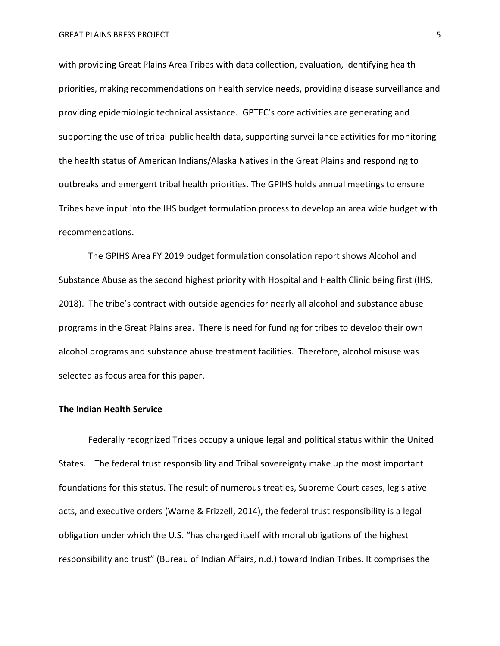with providing Great Plains Area Tribes with data collection, evaluation, identifying health priorities, making recommendations on health service needs, providing disease surveillance and providing epidemiologic technical assistance. GPTEC's core activities are generating and supporting the use of tribal public health data, supporting surveillance activities for monitoring the health status of American Indians/Alaska Natives in the Great Plains and responding to outbreaks and emergent tribal health priorities. The GPIHS holds annual meetings to ensure Tribes have input into the IHS budget formulation process to develop an area wide budget with recommendations.

The GPIHS Area FY 2019 budget formulation consolation report shows Alcohol and Substance Abuse as the second highest priority with Hospital and Health Clinic being first (IHS, 2018). The tribe's contract with outside agencies for nearly all alcohol and substance abuse programs in the Great Plains area. There is need for funding for tribes to develop their own alcohol programs and substance abuse treatment facilities. Therefore, alcohol misuse was selected as focus area for this paper.

## **The Indian Health Service**

Federally recognized Tribes occupy a unique legal and political status within the United States. The federal trust responsibility and Tribal sovereignty make up the most important foundations for this status. The result of numerous treaties, Supreme Court cases, legislative acts, and executive orders (Warne & Frizzell, 2014), the federal trust responsibility is a legal obligation under which the U.S. "has charged itself with moral obligations of the highest responsibility and trust" (Bureau of Indian Affairs, n.d.) toward Indian Tribes. It comprises the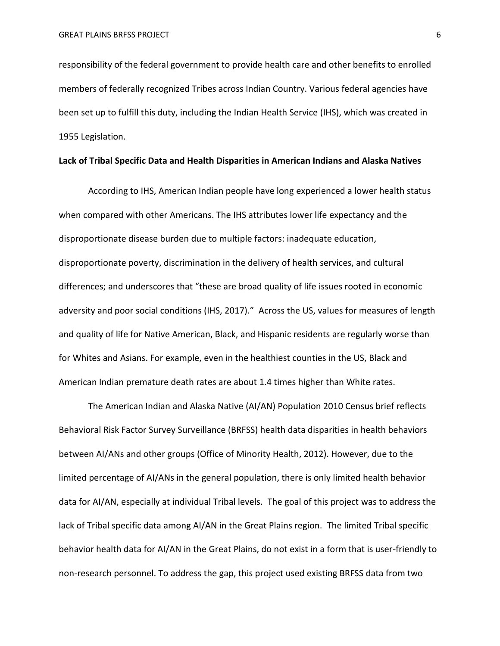responsibility of the federal government to provide health care and other benefits to enrolled members of federally recognized Tribes across Indian Country. Various federal agencies have been set up to fulfill this duty, including the Indian Health Service (IHS), which was created in 1955 Legislation.

# **Lack of Tribal Specific Data and Health Disparities in American Indians and Alaska Natives**

According to IHS, American Indian people have long experienced a lower health status when compared with other Americans. The IHS attributes lower life expectancy and the disproportionate disease burden due to multiple factors: inadequate education, disproportionate poverty, discrimination in the delivery of health services, and cultural differences; and underscores that "these are broad quality of life issues rooted in economic adversity and poor social conditions (IHS, 2017)." Across the US, values for measures of length and quality of life for Native American, Black, and Hispanic residents are regularly worse than for Whites and Asians. For example, even in the healthiest counties in the US, Black and American Indian premature death rates are about 1.4 times higher than White rates.

The American Indian and Alaska Native (AI/AN) Population 2010 Census brief reflects Behavioral Risk Factor Survey Surveillance (BRFSS) health data disparities in health behaviors between AI/ANs and other groups (Office of Minority Health, 2012). However, due to the limited percentage of AI/ANs in the general population, there is only limited health behavior data for AI/AN, especially at individual Tribal levels. The goal of this project was to address the lack of Tribal specific data among AI/AN in the Great Plains region.The limited Tribal specific behavior health data for AI/AN in the Great Plains, do not exist in a form that is user-friendly to non-research personnel. To address the gap, this project used existing BRFSS data from two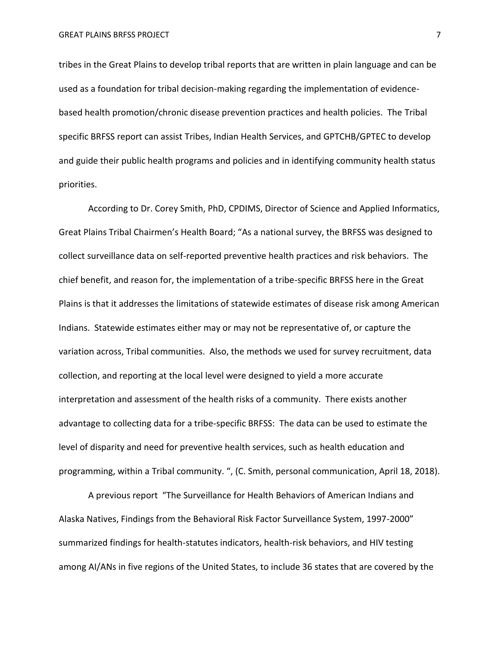tribes in the Great Plains to develop tribal reports that are written in plain language and can be used as a foundation for tribal decision-making regarding the implementation of evidencebased health promotion/chronic disease prevention practices and health policies. The Tribal specific BRFSS report can assist Tribes, Indian Health Services, and GPTCHB/GPTEC to develop and guide their public health programs and policies and in identifying community health status priorities.

According to Dr. Corey Smith, PhD, CPDIMS, Director of Science and Applied Informatics, Great Plains Tribal Chairmen's Health Board; "As a national survey, the BRFSS was designed to collect surveillance data on self-reported preventive health practices and risk behaviors. The chief benefit, and reason for, the implementation of a tribe-specific BRFSS here in the Great Plains is that it addresses the limitations of statewide estimates of disease risk among American Indians. Statewide estimates either may or may not be representative of, or capture the variation across, Tribal communities. Also, the methods we used for survey recruitment, data collection, and reporting at the local level were designed to yield a more accurate interpretation and assessment of the health risks of a community. There exists another advantage to collecting data for a tribe-specific BRFSS: The data can be used to estimate the level of disparity and need for preventive health services, such as health education and programming, within a Tribal community. ", (C. Smith, personal communication, April 18, 2018).

A previous report "The Surveillance for Health Behaviors of American Indians and Alaska Natives, Findings from the Behavioral Risk Factor Surveillance System, 1997-2000" summarized findings for health-statutes indicators, health-risk behaviors, and HIV testing among AI/ANs in five regions of the United States, to include 36 states that are covered by the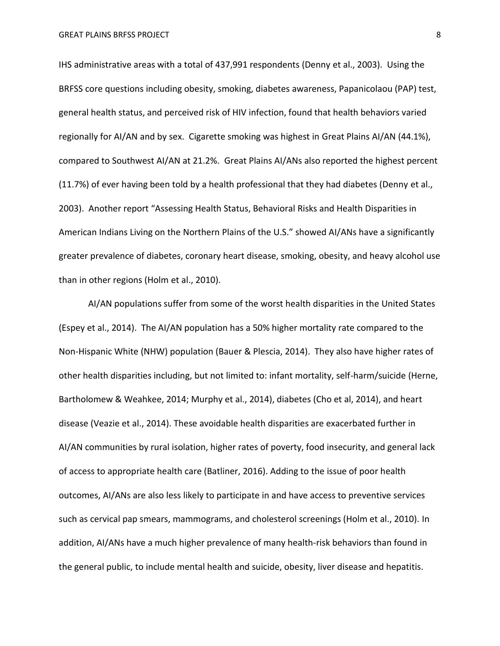IHS administrative areas with a total of 437,991 respondents (Denny et al., 2003). Using the BRFSS core questions including obesity, smoking, diabetes awareness, Papanicolaou (PAP) test, general health status, and perceived risk of HIV infection, found that health behaviors varied regionally for AI/AN and by sex. Cigarette smoking was highest in Great Plains AI/AN (44.1%), compared to Southwest AI/AN at 21.2%. Great Plains AI/ANs also reported the highest percent (11.7%) of ever having been told by a health professional that they had diabetes (Denny et al., 2003). Another report "Assessing Health Status, Behavioral Risks and Health Disparities in American Indians Living on the Northern Plains of the U.S." showed AI/ANs have a significantly greater prevalence of diabetes, coronary heart disease, smoking, obesity, and heavy alcohol use than in other regions (Holm et al., 2010).

AI/AN populations suffer from some of the worst health disparities in the United States (Espey et al., 2014). The AI/AN population has a 50% higher mortality rate compared to the Non-Hispanic White (NHW) population (Bauer & Plescia, 2014). They also have higher rates of other health disparities including, but not limited to: infant mortality, self-harm/suicide (Herne, Bartholomew & Weahkee, 2014; Murphy et al., 2014), diabetes (Cho et al, 2014), and heart disease (Veazie et al., 2014). These avoidable health disparities are exacerbated further in AI/AN communities by rural isolation, higher rates of poverty, food insecurity, and general lack of access to appropriate health care (Batliner, 2016). Adding to the issue of poor health outcomes, AI/ANs are also less likely to participate in and have access to preventive services such as cervical pap smears, mammograms, and cholesterol screenings (Holm et al., 2010). In addition, AI/ANs have a much higher prevalence of many health-risk behaviors than found in the general public, to include mental health and suicide, obesity, liver disease and hepatitis.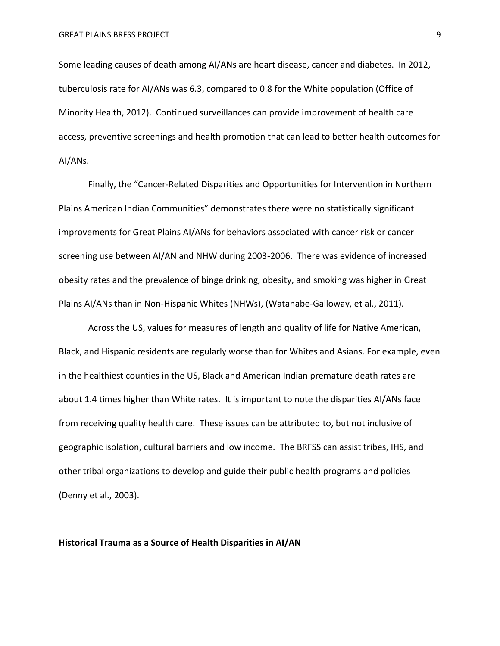Some leading causes of death among AI/ANs are heart disease, cancer and diabetes. In 2012, tuberculosis rate for AI/ANs was 6.3, compared to 0.8 for the White population (Office of Minority Health, 2012). Continued surveillances can provide improvement of health care access, preventive screenings and health promotion that can lead to better health outcomes for AI/ANs.

Finally, the "Cancer-Related Disparities and Opportunities for Intervention in Northern Plains American Indian Communities" demonstrates there were no statistically significant improvements for Great Plains AI/ANs for behaviors associated with cancer risk or cancer screening use between AI/AN and NHW during 2003-2006. There was evidence of increased obesity rates and the prevalence of binge drinking, obesity, and smoking was higher in Great Plains AI/ANs than in Non-Hispanic Whites (NHWs), (Watanabe-Galloway, et al., 2011).

Across the US, values for measures of length and quality of life for Native American, Black, and Hispanic residents are regularly worse than for Whites and Asians. For example, even in the healthiest counties in the US, Black and American Indian premature death rates are about 1.4 times higher than White rates. It is important to note the disparities AI/ANs face from receiving quality health care. These issues can be attributed to, but not inclusive of geographic isolation, cultural barriers and low income. The BRFSS can assist tribes, IHS, and other tribal organizations to develop and guide their public health programs and policies (Denny et al., 2003).

#### **Historical Trauma as a Source of Health Disparities in AI/AN**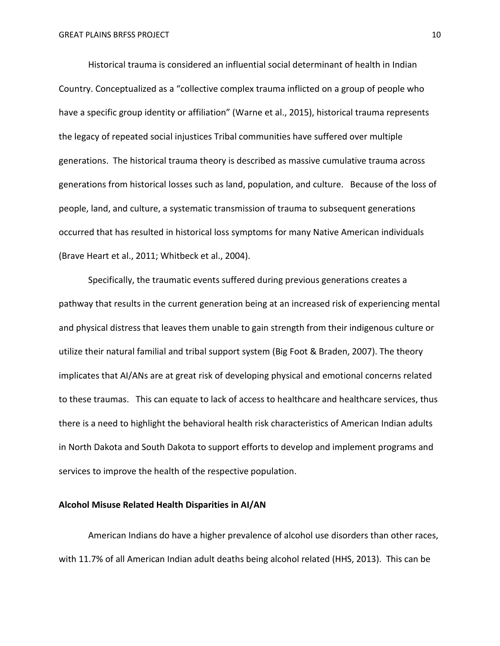Historical trauma is considered an influential social determinant of health in Indian Country. Conceptualized as a "collective complex trauma inflicted on a group of people who have a specific group identity or affiliation" (Warne et al., 2015), historical trauma represents the legacy of repeated social injustices Tribal communities have suffered over multiple generations. The historical trauma theory is described as massive cumulative trauma across generations from historical losses such as land, population, and culture. Because of the loss of people, land, and culture, a systematic transmission of trauma to subsequent generations occurred that has resulted in historical loss symptoms for many Native American individuals (Brave Heart et al., 2011; Whitbeck et al., 2004).

Specifically, the traumatic events suffered during previous generations creates a pathway that results in the current generation being at an increased risk of experiencing mental and physical distress that leaves them unable to gain strength from their indigenous culture or utilize their natural familial and tribal support system (Big Foot & Braden, 2007). The theory implicates that AI/ANs are at great risk of developing physical and emotional concerns related to these traumas. This can equate to lack of access to healthcare and healthcare services, thus there is a need to highlight the behavioral health risk characteristics of American Indian adults in North Dakota and South Dakota to support efforts to develop and implement programs and services to improve the health of the respective population.

#### **Alcohol Misuse Related Health Disparities in AI/AN**

American Indians do have a higher prevalence of alcohol use disorders than other races, with 11.7% of all American Indian adult deaths being alcohol related (HHS, 2013). This can be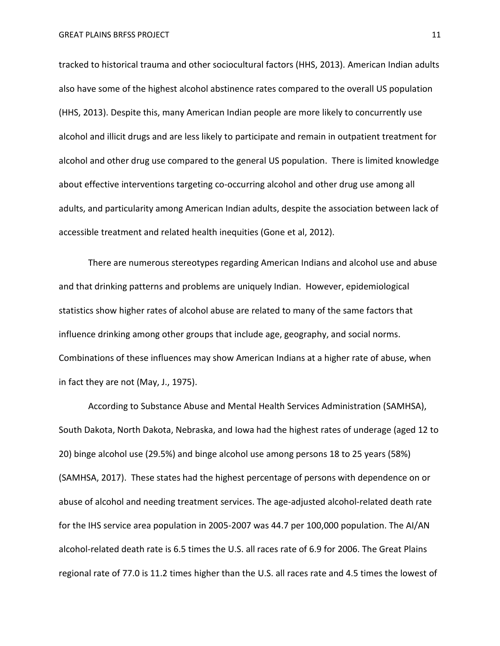tracked to historical trauma and other sociocultural factors (HHS, 2013). American Indian adults also have some of the highest alcohol abstinence rates compared to the overall US population (HHS, 2013). Despite this, many American Indian people are more likely to concurrently use alcohol and illicit drugs and are less likely to participate and remain in outpatient treatment for alcohol and other drug use compared to the general US population. There is limited knowledge about effective interventions targeting co-occurring alcohol and other drug use among all adults, and particularity among American Indian adults, despite the association between lack of accessible treatment and related health inequities (Gone et al, 2012).

There are numerous stereotypes regarding American Indians and alcohol use and abuse and that drinking patterns and problems are uniquely Indian. However, epidemiological statistics show higher rates of alcohol abuse are related to many of the same factors that influence drinking among other groups that include age, geography, and social norms. Combinations of these influences may show American Indians at a higher rate of abuse, when in fact they are not (May, J., 1975).

According to Substance Abuse and Mental Health Services Administration (SAMHSA), South Dakota, North Dakota, Nebraska, and Iowa had the highest rates of underage (aged 12 to 20) binge alcohol use (29.5%) and binge alcohol use among persons 18 to 25 years (58%) (SAMHSA, 2017). These states had the highest percentage of persons with dependence on or abuse of alcohol and needing treatment services. The age-adjusted alcohol-related death rate for the IHS service area population in 2005-2007 was 44.7 per 100,000 population. The AI/AN alcohol-related death rate is 6.5 times the U.S. all races rate of 6.9 for 2006. The Great Plains regional rate of 77.0 is 11.2 times higher than the U.S. all races rate and 4.5 times the lowest of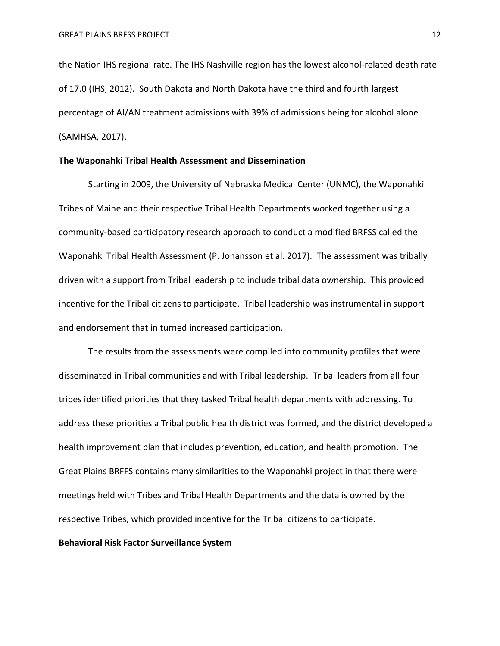the Nation IHS regional rate. The IHS Nashville region has the lowest alcohol-related death rate of 17.0 (IHS, 2012). South Dakota and North Dakota have the third and fourth largest percentage of AI/AN treatment admissions with 39% of admissions being for alcohol alone (SAMHSA, 2017).

# **The Waponahki Tribal Health Assessment and Dissemination**

Starting in 2009, the University of Nebraska Medical Center (UNMC), the Waponahki Tribes of Maine and their respective Tribal Health Departments worked together using a community-based participatory research approach to conduct a modified BRFSS called the Waponahki Tribal Health Assessment (P. Johansson et al. 2017). The assessment was tribally driven with a support from Tribal leadership to include tribal data ownership. This provided incentive for the Tribal citizens to participate. Tribal leadership was instrumental in support and endorsement that in turned increased participation.

The results from the assessments were compiled into community profiles that were disseminated in Tribal communities and with Tribal leadership. Tribal leaders from all four tribes identified priorities that they tasked Tribal health departments with addressing. To address these priorities a Tribal public health district was formed, and the district developed a health improvement plan that includes prevention, education, and health promotion. The Great Plains BRFFS contains many similarities to the Waponahki project in that there were meetings held with Tribes and Tribal Health Departments and the data is owned by the respective Tribes, which provided incentive for the Tribal citizens to participate.

# **Behavioral Risk Factor Surveillance System**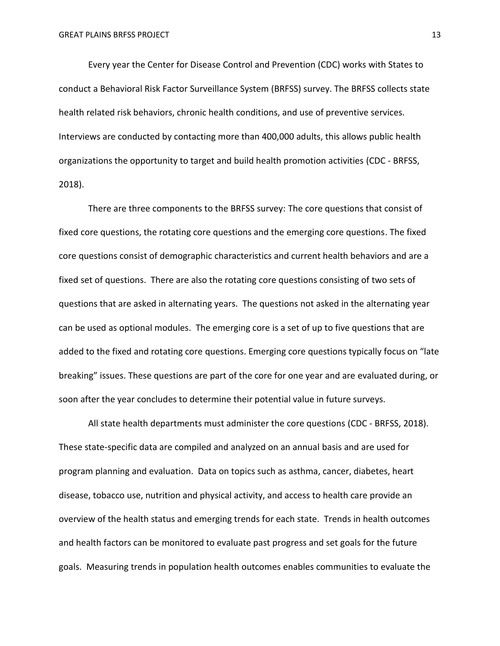Every year the Center for Disease Control and Prevention (CDC) works with States to conduct a Behavioral Risk Factor Surveillance System (BRFSS) survey. The BRFSS collects state health related risk behaviors, chronic health conditions, and use of preventive services. Interviews are conducted by contacting more than 400,000 adults, this allows public health organizations the opportunity to target and build health promotion activities (CDC - BRFSS, 2018).

There are three components to the BRFSS survey: The core questions that consist of fixed core questions, the rotating core questions and the emerging core questions. The fixed core questions consist of demographic characteristics and current health behaviors and are a fixed set of questions. There are also the rotating core questions consisting of two sets of questions that are asked in alternating years. The questions not asked in the alternating year can be used as optional modules. The emerging core is a set of up to five questions that are added to the fixed and rotating core questions. Emerging core questions typically focus on "late breaking" issues. These questions are part of the core for one year and are evaluated during, or soon after the year concludes to determine their potential value in future surveys.

All state health departments must administer the core questions (CDC - BRFSS, 2018). These state-specific data are compiled and analyzed on an annual basis and are used for program planning and evaluation. Data on topics such as asthma, cancer, diabetes, heart disease, tobacco use, nutrition and physical activity, and access to health care provide an overview of the health status and emerging trends for each state. Trends in health outcomes and health factors can be monitored to evaluate past progress and set goals for the future goals. Measuring trends in population health outcomes enables communities to evaluate the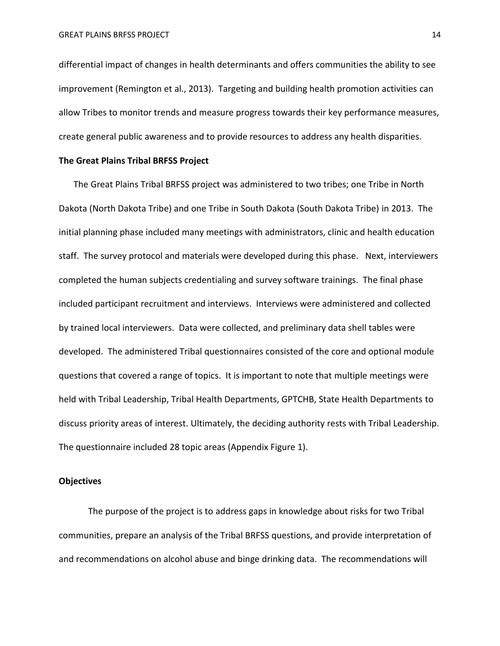differential impact of changes in health determinants and offers communities the ability to see improvement (Remington et al., 2013). Targeting and building health promotion activities can allow Tribes to monitor trends and measure progress towards their key performance measures, create general public awareness and to provide resources to address any health disparities.

# **The Great Plains Tribal BRFSS Project**

The Great Plains Tribal BRFSS project was administered to two tribes; one Tribe in North Dakota (North Dakota Tribe) and one Tribe in South Dakota (South Dakota Tribe) in 2013. The initial planning phase included many meetings with administrators, clinic and health education staff. The survey protocol and materials were developed during this phase. Next, interviewers completed the human subjects credentialing and survey software trainings. The final phase included participant recruitment and interviews. Interviews were administered and collected by trained local interviewers. Data were collected, and preliminary data shell tables were developed. The administered Tribal questionnaires consisted of the core and optional module questions that covered a range of topics. It is important to note that multiple meetings were held with Tribal Leadership, Tribal Health Departments, GPTCHB, State Health Departments to discuss priority areas of interest. Ultimately, the deciding authority rests with Tribal Leadership. The questionnaire included 28 topic areas (Appendix Figure 1).

# **Objectives**

The purpose of the project is to address gaps in knowledge about risks for two Tribal communities, prepare an analysis of the Tribal BRFSS questions, and provide interpretation of and recommendations on alcohol abuse and binge drinking data. The recommendations will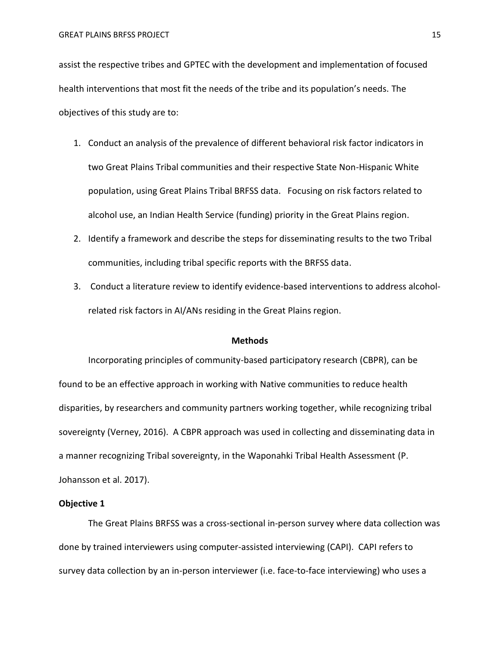assist the respective tribes and GPTEC with the development and implementation of focused health interventions that most fit the needs of the tribe and its population's needs. The objectives of this study are to:

- 1. Conduct an analysis of the prevalence of different behavioral risk factor indicators in two Great Plains Tribal communities and their respective State Non-Hispanic White population, using Great Plains Tribal BRFSS data. Focusing on risk factors related to alcohol use, an Indian Health Service (funding) priority in the Great Plains region.
- 2. Identify a framework and describe the steps for disseminating results to the two Tribal communities, including tribal specific reports with the BRFSS data.
- 3. Conduct a literature review to identify evidence-based interventions to address alcoholrelated risk factors in AI/ANs residing in the Great Plains region.

#### **Methods**

Incorporating principles of community-based participatory research (CBPR), can be found to be an effective approach in working with Native communities to reduce health disparities, by researchers and community partners working together, while recognizing tribal sovereignty (Verney, 2016). A CBPR approach was used in collecting and disseminating data in a manner recognizing Tribal sovereignty, in the Waponahki Tribal Health Assessment (P. Johansson et al. 2017).

# **Objective 1**

The Great Plains BRFSS was a cross-sectional in-person survey where data collection was done by trained interviewers using computer-assisted interviewing (CAPI). CAPI refers to survey data collection by an in-person interviewer (i.e. face-to-face interviewing) who uses a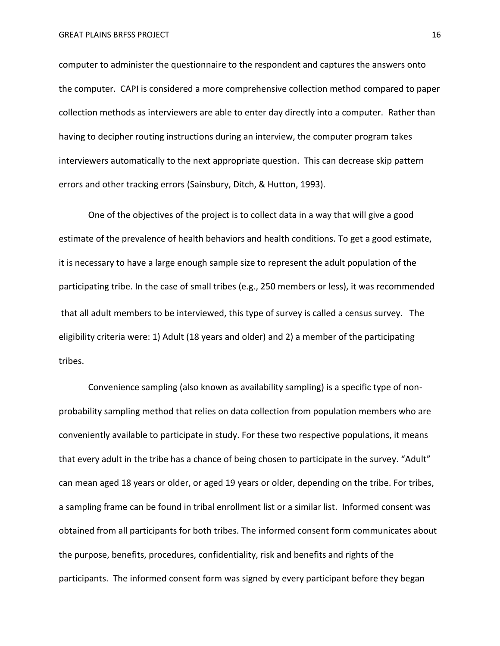computer to administer the questionnaire to the respondent and captures the answers onto the computer. CAPI is considered a more comprehensive collection method compared to paper collection methods as interviewers are able to enter day directly into a computer. Rather than having to decipher routing instructions during an interview, the computer program takes interviewers automatically to the next appropriate question. This can decrease skip pattern errors and other tracking errors (Sainsbury, Ditch, & Hutton, 1993).

One of the objectives of the project is to collect data in a way that will give a good estimate of the prevalence of health behaviors and health conditions. To get a good estimate, it is necessary to have a large enough sample size to represent the adult population of the participating tribe. In the case of small tribes (e.g., 250 members or less), it was recommended that all adult members to be interviewed, this type of survey is called a census survey. The eligibility criteria were: 1) Adult (18 years and older) and 2) a member of the participating tribes.

Convenience sampling (also known as availability sampling) is a specific type of nonprobability sampling method that relies on data collection from population members who are conveniently available to participate in study. For these two respective populations, it means that every adult in the tribe has a chance of being chosen to participate in the survey. "Adult" can mean aged 18 years or older, or aged 19 years or older, depending on the tribe. For tribes, a sampling frame can be found in tribal enrollment list or a similar list. Informed consent was obtained from all participants for both tribes. The informed consent form communicates about the purpose, benefits, procedures, confidentiality, risk and benefits and rights of the participants. The informed consent form was signed by every participant before they began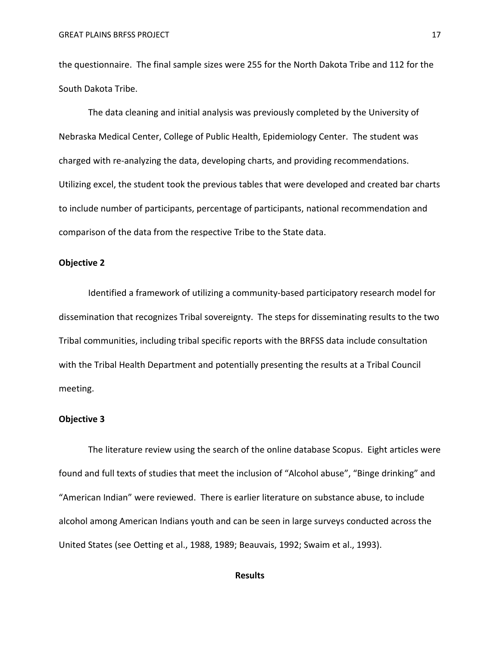the questionnaire. The final sample sizes were 255 for the North Dakota Tribe and 112 for the South Dakota Tribe.

The data cleaning and initial analysis was previously completed by the University of Nebraska Medical Center, College of Public Health, Epidemiology Center. The student was charged with re-analyzing the data, developing charts, and providing recommendations. Utilizing excel, the student took the previous tables that were developed and created bar charts to include number of participants, percentage of participants, national recommendation and comparison of the data from the respective Tribe to the State data.

#### **Objective 2**

Identified a framework of utilizing a community-based participatory research model for dissemination that recognizes Tribal sovereignty. The steps for disseminating results to the two Tribal communities, including tribal specific reports with the BRFSS data include consultation with the Tribal Health Department and potentially presenting the results at a Tribal Council meeting.

# **Objective 3**

The literature review using the search of the online database Scopus. Eight articles were found and full texts of studies that meet the inclusion of "Alcohol abuse", "Binge drinking" and "American Indian" were reviewed. There is earlier literature on substance abuse, to include alcohol among American Indians youth and can be seen in large surveys conducted across the United States (see Oetting et al., 1988, 1989; Beauvais, 1992; Swaim et al., 1993).

# **Results**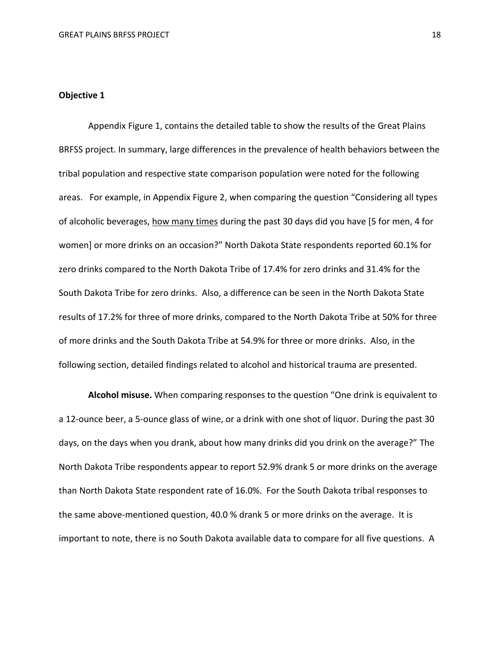# **Objective 1**

Appendix Figure 1, contains the detailed table to show the results of the Great Plains BRFSS project. In summary, large differences in the prevalence of health behaviors between the tribal population and respective state comparison population were noted for the following areas. For example, in Appendix Figure 2, when comparing the question "Considering all types of alcoholic beverages, how many times during the past 30 days did you have [5 for men, 4 for women] or more drinks on an occasion?" North Dakota State respondents reported 60.1% for zero drinks compared to the North Dakota Tribe of 17.4% for zero drinks and 31.4% for the South Dakota Tribe for zero drinks. Also, a difference can be seen in the North Dakota State results of 17.2% for three of more drinks, compared to the North Dakota Tribe at 50% for three of more drinks and the South Dakota Tribe at 54.9% for three or more drinks. Also, in the following section, detailed findings related to alcohol and historical trauma are presented.

**Alcohol misuse.** When comparing responses to the question "One drink is equivalent to a 12-ounce beer, a 5-ounce glass of wine, or a drink with one shot of liquor. During the past 30 days, on the days when you drank, about how many drinks did you drink on the average?" The North Dakota Tribe respondents appear to report 52.9% drank 5 or more drinks on the average than North Dakota State respondent rate of 16.0%. For the South Dakota tribal responses to the same above-mentioned question, 40.0 % drank 5 or more drinks on the average. It is important to note, there is no South Dakota available data to compare for all five questions. A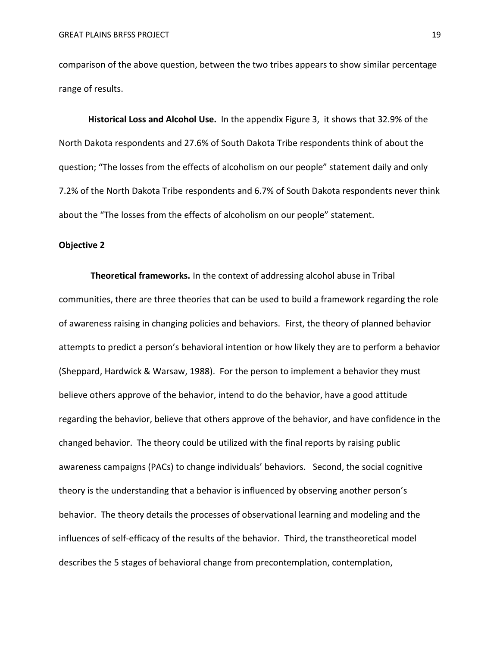comparison of the above question, between the two tribes appears to show similar percentage range of results.

**Historical Loss and Alcohol Use.** In the appendix Figure 3, it shows that 32.9% of the North Dakota respondents and 27.6% of South Dakota Tribe respondents think of about the question; "The losses from the effects of alcoholism on our people" statement daily and only 7.2% of the North Dakota Tribe respondents and 6.7% of South Dakota respondents never think about the "The losses from the effects of alcoholism on our people" statement.

#### **Objective 2**

**Theoretical frameworks.** In the context of addressing alcohol abuse in Tribal communities, there are three theories that can be used to build a framework regarding the role of awareness raising in changing policies and behaviors. First, the theory of planned behavior attempts to predict a person's behavioral intention or how likely they are to perform a behavior (Sheppard, Hardwick & Warsaw, 1988). For the person to implement a behavior they must believe others approve of the behavior, intend to do the behavior, have a good attitude regarding the behavior, believe that others approve of the behavior, and have confidence in the changed behavior. The theory could be utilized with the final reports by raising public awareness campaigns (PACs) to change individuals' behaviors. Second, the social cognitive theory is the understanding that a behavior is influenced by observing another person's behavior. The theory details the processes of observational learning and modeling and the influences of self-efficacy of the results of the behavior. Third, the transtheoretical model describes the 5 stages of behavioral change from precontemplation, contemplation,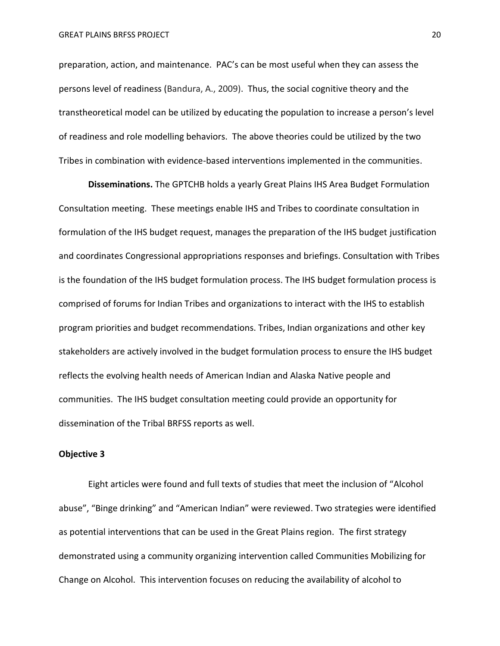preparation, action, and maintenance. PAC's can be most useful when they can assess the persons level of readiness (Bandura, A., 2009). Thus, the social cognitive theory and the transtheoretical model can be utilized by educating the population to increase a person's level of readiness and role modelling behaviors. The above theories could be utilized by the two Tribes in combination with evidence-based interventions implemented in the communities.

**Disseminations.** The GPTCHB holds a yearly Great Plains IHS Area Budget Formulation Consultation meeting. These meetings enable IHS and Tribes to coordinate consultation in formulation of the IHS budget request, manages the preparation of the IHS budget justification and coordinates Congressional appropriations responses and briefings. Consultation with Tribes is the foundation of the IHS budget formulation process. The IHS budget formulation process is comprised of forums for Indian Tribes and organizations to interact with the IHS to establish program priorities and budget recommendations. Tribes, Indian organizations and other key stakeholders are actively involved in the budget formulation process to ensure the IHS budget reflects the evolving health needs of American Indian and Alaska Native people and communities. The IHS budget consultation meeting could provide an opportunity for dissemination of the Tribal BRFSS reports as well.

# **Objective 3**

Eight articles were found and full texts of studies that meet the inclusion of "Alcohol abuse", "Binge drinking" and "American Indian" were reviewed. Two strategies were identified as potential interventions that can be used in the Great Plains region. The first strategy demonstrated using a community organizing intervention called Communities Mobilizing for Change on Alcohol. This intervention focuses on reducing the availability of alcohol to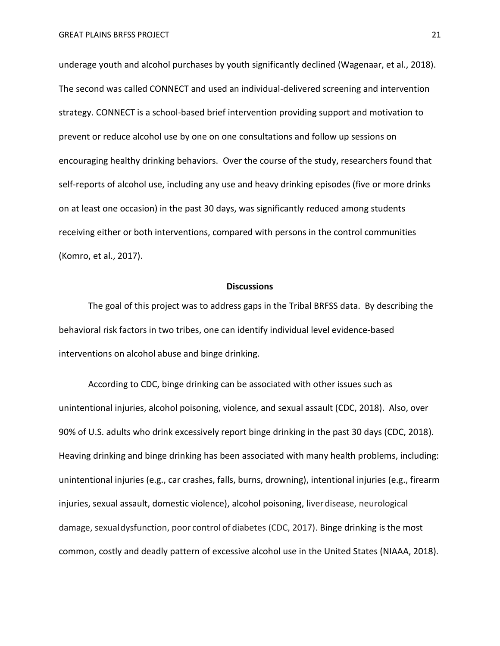underage youth and alcohol purchases by youth significantly declined (Wagenaar, et al., 2018). The second was called CONNECT and used an individual-delivered screening and intervention strategy. CONNECT is a school-based brief intervention providing support and motivation to prevent or reduce alcohol use by one on one consultations and follow up sessions on encouraging healthy drinking behaviors. Over the course of the study, researchers found that self-reports of alcohol use, including any use and heavy drinking episodes (five or more drinks on at least one occasion) in the past 30 days, was significantly reduced among students receiving either or both interventions, compared with persons in the control communities (Komro, et al., 2017).

# **Discussions**

The goal of this project was to address gaps in the Tribal BRFSS data. By describing the behavioral risk factors in two tribes, one can identify individual level evidence-based interventions on alcohol abuse and binge drinking.

According to CDC, binge drinking can be associated with other issues such as unintentional injuries, alcohol poisoning, violence, and sexual assault (CDC, 2018). Also, over 90% of U.S. adults who drink excessively report binge drinking in the past 30 days (CDC, 2018). Heaving drinking and binge drinking has been associated with many health problems, including: unintentional injuries (e.g., car crashes, falls, burns, drowning), intentional injuries (e.g., firearm injuries, sexual assault, domestic violence), alcohol poisoning, liverdisease, neurological damage, sexualdysfunction, poor control of diabetes (CDC, 2017). Binge drinking is the most common, costly and deadly pattern of excessive alcohol use in the United States (NIAAA, 2018).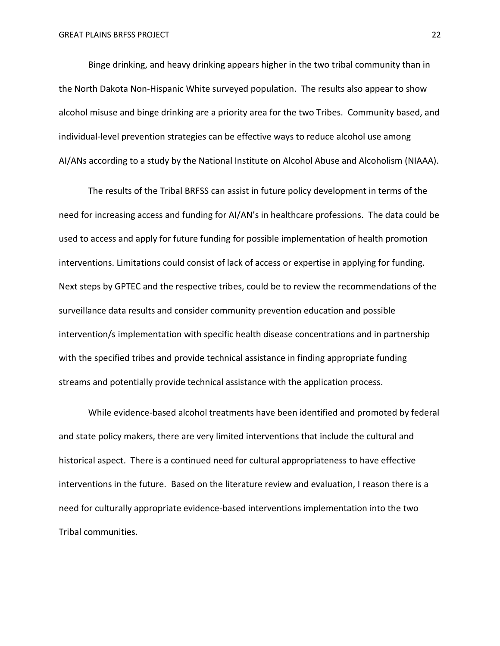Binge drinking, and heavy drinking appears higher in the two tribal community than in the North Dakota Non-Hispanic White surveyed population. The results also appear to show alcohol misuse and binge drinking are a priority area for the two Tribes. Community based, and individual-level prevention strategies can be effective ways to reduce alcohol use among AI/ANs according to a study by the National Institute on Alcohol Abuse and Alcoholism (NIAAA).

The results of the Tribal BRFSS can assist in future policy development in terms of the need for increasing access and funding for AI/AN's in healthcare professions. The data could be used to access and apply for future funding for possible implementation of health promotion interventions. Limitations could consist of lack of access or expertise in applying for funding. Next steps by GPTEC and the respective tribes, could be to review the recommendations of the surveillance data results and consider community prevention education and possible intervention/s implementation with specific health disease concentrations and in partnership with the specified tribes and provide technical assistance in finding appropriate funding streams and potentially provide technical assistance with the application process.

While evidence-based alcohol treatments have been identified and promoted by federal and state policy makers, there are very limited interventions that include the cultural and historical aspect. There is a continued need for cultural appropriateness to have effective interventions in the future. Based on the literature review and evaluation, I reason there is a need for culturally appropriate evidence-based interventions implementation into the two Tribal communities.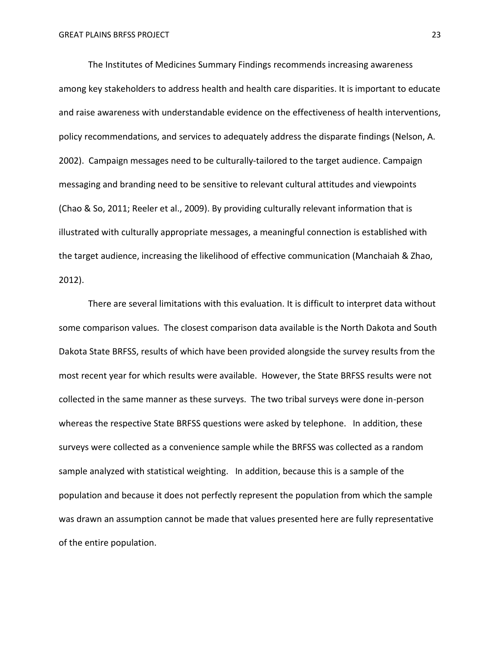The Institutes of Medicines Summary Findings recommends increasing awareness among key stakeholders to address health and health care disparities. It is important to educate and raise awareness with understandable evidence on the effectiveness of health interventions, policy recommendations, and services to adequately address the disparate findings (Nelson, A. 2002). Campaign messages need to be culturally-tailored to the target audience. Campaign messaging and branding need to be sensitive to relevant cultural attitudes and viewpoints (Chao & So, 2011; Reeler et al., 2009). By providing culturally relevant information that is illustrated with culturally appropriate messages, a meaningful connection is established with the target audience, increasing the likelihood of effective communication (Manchaiah & Zhao, 2012).

There are several limitations with this evaluation. It is difficult to interpret data without some comparison values. The closest comparison data available is the North Dakota and South Dakota State BRFSS, results of which have been provided alongside the survey results from the most recent year for which results were available. However, the State BRFSS results were not collected in the same manner as these surveys. The two tribal surveys were done in-person whereas the respective State BRFSS questions were asked by telephone. In addition, these surveys were collected as a convenience sample while the BRFSS was collected as a random sample analyzed with statistical weighting. In addition, because this is a sample of the population and because it does not perfectly represent the population from which the sample was drawn an assumption cannot be made that values presented here are fully representative of the entire population.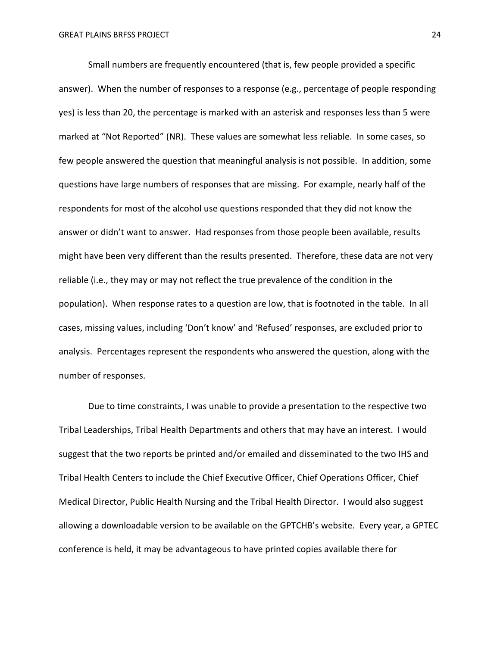Small numbers are frequently encountered (that is, few people provided a specific answer). When the number of responses to a response (e.g., percentage of people responding yes) is less than 20, the percentage is marked with an asterisk and responses less than 5 were marked at "Not Reported" (NR). These values are somewhat less reliable. In some cases, so few people answered the question that meaningful analysis is not possible. In addition, some questions have large numbers of responses that are missing. For example, nearly half of the respondents for most of the alcohol use questions responded that they did not know the answer or didn't want to answer. Had responses from those people been available, results might have been very different than the results presented. Therefore, these data are not very reliable (i.e., they may or may not reflect the true prevalence of the condition in the population). When response rates to a question are low, that is footnoted in the table. In all cases, missing values, including 'Don't know' and 'Refused' responses, are excluded prior to analysis. Percentages represent the respondents who answered the question, along with the number of responses.

Due to time constraints, I was unable to provide a presentation to the respective two Tribal Leaderships, Tribal Health Departments and others that may have an interest. I would suggest that the two reports be printed and/or emailed and disseminated to the two IHS and Tribal Health Centers to include the Chief Executive Officer, Chief Operations Officer, Chief Medical Director, Public Health Nursing and the Tribal Health Director. I would also suggest allowing a downloadable version to be available on the GPTCHB's website. Every year, a GPTEC conference is held, it may be advantageous to have printed copies available there for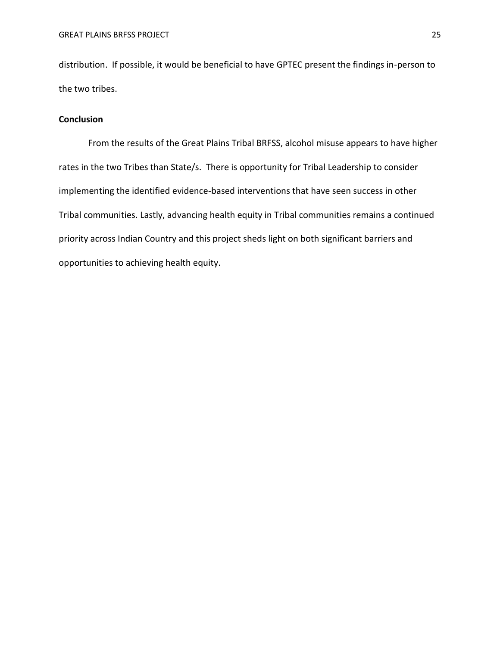distribution. If possible, it would be beneficial to have GPTEC present the findings in-person to the two tribes.

# **Conclusion**

From the results of the Great Plains Tribal BRFSS, alcohol misuse appears to have higher rates in the two Tribes than State/s. There is opportunity for Tribal Leadership to consider implementing the identified evidence-based interventions that have seen success in other Tribal communities. Lastly, advancing health equity in Tribal communities remains a continued priority across Indian Country and this project sheds light on both significant barriers and opportunities to achieving health equity.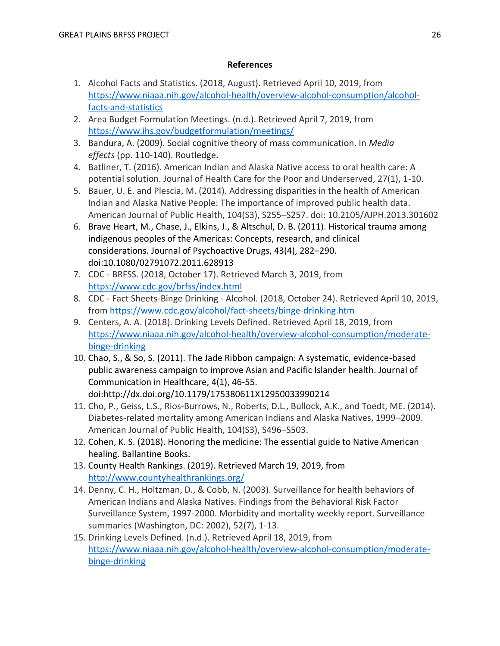# **References**

- 1. Alcohol Facts and Statistics. (2018, August). Retrieved April 10, 2019, from [https://www.niaaa.nih.gov/alcohol-health/overview-alcohol-consumption/alcohol](https://www.niaaa.nih.gov/alcohol-health/overview-alcohol-consumption/alcohol-facts-and-statistics)[facts-and-statistics](https://www.niaaa.nih.gov/alcohol-health/overview-alcohol-consumption/alcohol-facts-and-statistics)
- 2. Area Budget Formulation Meetings. (n.d.). Retrieved April 7, 2019, from <https://www.ihs.gov/budgetformulation/meetings/>
- 3. Bandura, A. (2009). Social cognitive theory of mass communication. In *Media effects* (pp. 110-140). Routledge.
- 4. Batliner, T. (2016). American Indian and Alaska Native access to oral health care: A potential solution. Journal of Health Care for the Poor and Underserved, 27(1), 1-10.
- 5. Bauer, U. E. and Plescia, M. (2014). Addressing disparities in the health of American Indian and Alaska Native People: The importance of improved public health data. American Journal of Public Health, 104(S3), S255–S257. doi: 10.2105/AJPH.2013.301602
- 6. Brave Heart, M., Chase, J., Elkins, J., & Altschul, D. B. (2011). Historical trauma among indigenous peoples of the Americas: Concepts, research, and clinical considerations. Journal of Psychoactive Drugs, 43(4), 282–290. doi:10.1080/02791072.2011.628913
- 7. CDC BRFSS. (2018, October 17). Retrieved March 3, 2019, from <https://www.cdc.gov/brfss/index.html>
- 8. CDC Fact Sheets-Binge Drinking Alcohol. (2018, October 24). Retrieved April 10, 2019, from<https://www.cdc.gov/alcohol/fact-sheets/binge-drinking.htm>
- 9. Centers, A. A. (2018). Drinking Levels Defined. Retrieved April 18, 2019, from [https://www.niaaa.nih.gov/alcohol-health/overview-alcohol-consumption/moderate](https://www.niaaa.nih.gov/alcohol-health/overview-alcohol-consumption/moderate-binge-drinking)[binge-drinking](https://www.niaaa.nih.gov/alcohol-health/overview-alcohol-consumption/moderate-binge-drinking)
- 10. Chao, S., & So, S. (2011). The Jade Ribbon campaign: A systematic, evidence-based public awareness campaign to improve Asian and Pacific Islander health. Journal of Communication in Healthcare, 4(1), 46-55. doi:http://dx.doi.org/10.1179/175380611X12950033990214
- 11. Cho, P., Geiss, L.S., Rios-Burrows, N., Roberts, D.L., Bullock, A.K., and Toedt, ME. (2014). Diabetes-related mortality among American Indians and Alaska Natives, 1999–2009. American Journal of Public Health, 104(S3), S496–S503.
- 12. Cohen, K. S. (2018). Honoring the medicine: The essential guide to Native American healing. Ballantine Books.
- 13. County Health Rankings. (2019). Retrieved March 19, 2019, from <http://www.countyhealthrankings.org/>
- 14. Denny, C. H., Holtzman, D., & Cobb, N. (2003). Surveillance for health behaviors of American Indians and Alaska Natives. Findings from the Behavioral Risk Factor Surveillance System, 1997-2000. Morbidity and mortality weekly report. Surveillance summaries (Washington, DC: 2002), 52(7), 1-13.
- 15. Drinking Levels Defined. (n.d.). Retrieved April 18, 2019, from [https://www.niaaa.nih.gov/alcohol-health/overview-alcohol-consumption/moderate](https://www.niaaa.nih.gov/alcohol-health/overview-alcohol-consumption/moderate-binge-drinking)[binge-drinking](https://www.niaaa.nih.gov/alcohol-health/overview-alcohol-consumption/moderate-binge-drinking)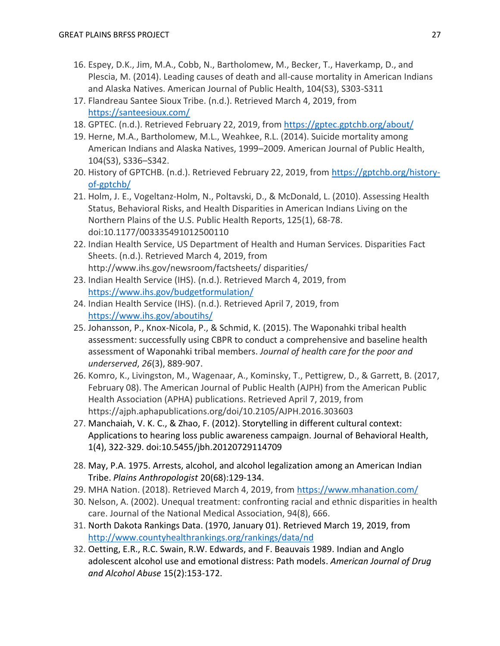- 16. Espey, D.K., Jim, M.A., Cobb, N., Bartholomew, M., Becker, T., Haverkamp, D., and Plescia, M. (2014). Leading causes of death and all-cause mortality in American Indians and Alaska Natives. American Journal of Public Health, 104(S3), S303-S311
- 17. Flandreau Santee Sioux Tribe. (n.d.). Retrieved March 4, 2019, from <https://santeesioux.com/>
- 18. GPTEC. (n.d.). Retrieved February 22, 2019, from<https://gptec.gptchb.org/about/>
- 19. Herne, M.A., Bartholomew, M.L., Weahkee, R.L. (2014). Suicide mortality among American Indians and Alaska Natives, 1999–2009. American Journal of Public Health, 104(S3), S336–S342.
- 20. History of GPTCHB. (n.d.). Retrieved February 22, 2019, from [https://gptchb.org/history](https://gptchb.org/history-of-gptchb/)[of-gptchb/](https://gptchb.org/history-of-gptchb/)
- 21. Holm, J. E., Vogeltanz-Holm, N., Poltavski, D., & McDonald, L. (2010). Assessing Health Status, Behavioral Risks, and Health Disparities in American Indians Living on the Northern Plains of the U.S. Public Health Reports, 125(1), 68-78. doi:10.1177/003335491012500110
- 22. Indian Health Service, US Department of Health and Human Services. Disparities Fact Sheets. (n.d.). Retrieved March 4, 2019, from http://www.ihs.gov/newsroom/factsheets/ disparities/
- 23. Indian Health Service (IHS). (n.d.). Retrieved March 4, 2019, from <https://www.ihs.gov/budgetformulation/>
- 24. Indian Health Service (IHS). (n.d.). Retrieved April 7, 2019, from <https://www.ihs.gov/aboutihs/>
- 25. Johansson, P., Knox-Nicola, P., & Schmid, K. (2015). The Waponahki tribal health assessment: successfully using CBPR to conduct a comprehensive and baseline health assessment of Waponahki tribal members. *Journal of health care for the poor and underserved*, *26*(3), 889-907.
- 26. Komro, K., Livingston, M., Wagenaar, A., Kominsky, T., Pettigrew, D., & Garrett, B. (2017, February 08). The American Journal of Public Health (AJPH) from the American Public Health Association (APHA) publications. Retrieved April 7, 2019, from https://ajph.aphapublications.org/doi/10.2105/AJPH.2016.303603
- 27. Manchaiah, V. K. C., & Zhao, F. (2012). Storytelling in different cultural context: Applications to hearing loss public awareness campaign. Journal of Behavioral Health, 1(4), 322-329. doi:10.5455/jbh.20120729114709
- 28. May, P.A. 1975. Arrests, alcohol, and alcohol legalization among an American Indian Tribe. *Plains Anthropologist* 20(68):129-134.
- 29. MHA Nation. (2018). Retrieved March 4, 2019, from<https://www.mhanation.com/>
- 30. Nelson, A. (2002). Unequal treatment: confronting racial and ethnic disparities in health care. Journal of the National Medical Association, 94(8), 666.
- 31. North Dakota Rankings Data. (1970, January 01). Retrieved March 19, 2019, from <http://www.countyhealthrankings.org/rankings/data/nd>
- 32. Oetting, E.R., R.C. Swain, R.W. Edwards, and F. Beauvais 1989. Indian and Anglo adolescent alcohol use and emotional distress: Path models. *American Journal of Drug and Alcohol Abuse* 15(2):153-172.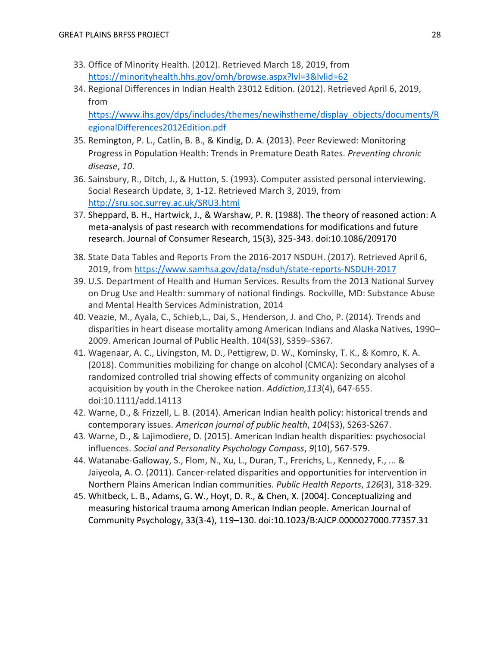- 33. Office of Minority Health. (2012). Retrieved March 18, 2019, from <https://minorityhealth.hhs.gov/omh/browse.aspx?lvl=3&lvlid=62>
- 34. Regional Differences in Indian Health 23012 Edition. (2012). Retrieved April 6, 2019, from

[https://www.ihs.gov/dps/includes/themes/newihstheme/display\\_objects/documents/R](https://www.ihs.gov/dps/includes/themes/newihstheme/display_objects/documents/RegionalDifferences2012Edition.pdf) [egionalDifferences2012Edition.pdf](https://www.ihs.gov/dps/includes/themes/newihstheme/display_objects/documents/RegionalDifferences2012Edition.pdf)

- 35. Remington, P. L., Catlin, B. B., & Kindig, D. A. (2013). Peer Reviewed: Monitoring Progress in Population Health: Trends in Premature Death Rates. *Preventing chronic disease*, *10*.
- 36. Sainsbury, R., Ditch, J., & Hutton, S. (1993). Computer assisted personal interviewing. Social Research Update, 3, 1-12. Retrieved March 3, 2019, from <http://sru.soc.surrey.ac.uk/SRU3.html>
- 37. Sheppard, B. H., Hartwick, J., & Warshaw, P. R. (1988). The theory of reasoned action: A meta-analysis of past research with recommendations for modifications and future research. Journal of Consumer Research, 15(3), 325-343. doi:10.1086/209170
- 38. State Data Tables and Reports From the 2016-2017 NSDUH. (2017). Retrieved April 6, 2019, from<https://www.samhsa.gov/data/nsduh/state-reports-NSDUH-2017>
- 39. U.S. Department of Health and Human Services. Results from the 2013 National Survey on Drug Use and Health: summary of national findings. Rockville, MD: Substance Abuse and Mental Health Services Administration, 2014
- 40. Veazie, M., Ayala, C., Schieb,L., Dai, S., Henderson, J. and Cho, P. (2014). Trends and disparities in heart disease mortality among American Indians and Alaska Natives, 1990– 2009. American Journal of Public Health. 104(S3), S359–S367.
- 41. Wagenaar, A. C., Livingston, M. D., Pettigrew, D. W., Kominsky, T. K., & Komro, K. A. (2018). Communities mobilizing for change on alcohol (CMCA): Secondary analyses of a randomized controlled trial showing effects of community organizing on alcohol acquisition by youth in the Cherokee nation. *Addiction,113*(4), 647-655. doi:10.1111/add.14113
- 42. Warne, D., & Frizzell, L. B. (2014). American Indian health policy: historical trends and contemporary issues. *American journal of public health*, *104*(S3), S263-S267.
- 43. Warne, D., & Lajimodiere, D. (2015). American Indian health disparities: psychosocial influences. *Social and Personality Psychology Compass*, *9*(10), 567-579.
- 44. Watanabe-Galloway, S., Flom, N., Xu, L., Duran, T., Frerichs, L., Kennedy, F., ... & Jaiyeola, A. O. (2011). Cancer-related disparities and opportunities for intervention in Northern Plains American Indian communities. *Public Health Reports*, *126*(3), 318-329.
- 45. Whitbeck, L. B., Adams, G. W., Hoyt, D. R., & Chen, X. (2004). Conceptualizing and measuring historical trauma among American Indian people. American Journal of Community Psychology, 33(3-4), 119–130. doi:10.1023/B:AJCP.0000027000.77357.31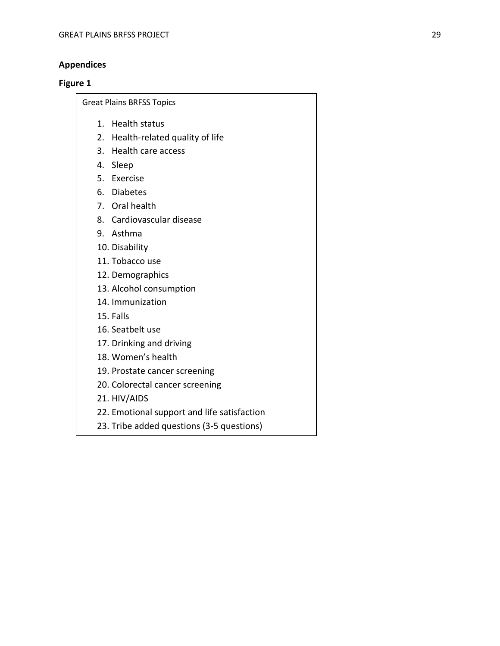# **Appendices**

# **Figure 1**

Great Plains BRFSS Topics

- 1. Health status
- 2. Health-related quality of life
- 3. Health care access
- 4. Sleep
- 5. Exercise
- 6. Diabetes
- 7. Oral health
- 8. Cardiovascular disease
- 9. Asthma
- 10. Disability
- 11. Tobacco use
- 12. Demographics
- 13. Alcohol consumption
- 14. Immunization
- 15. Falls
- 16. Seatbelt use
- 17. Drinking and driving
- 18. Women's health
- 19. Prostate cancer screening
- 20. Colorectal cancer screening
- 21. HIV/AIDS
- 22. Emotional support and life satisfaction
- 23. Tribe added questions (3-5 questions)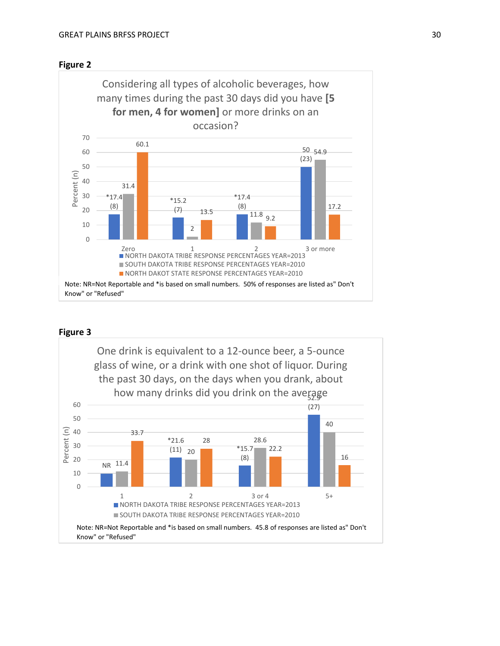



# **Figure 3**

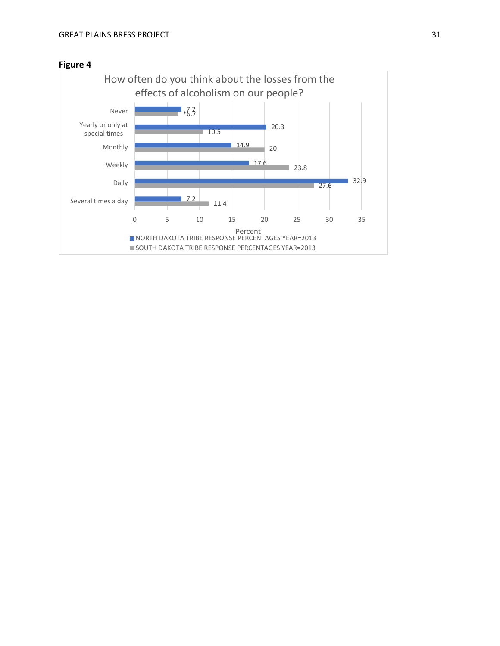

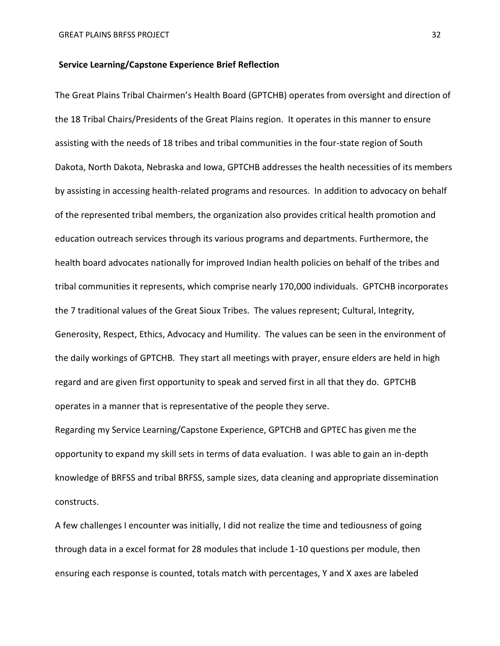# **Service Learning/Capstone Experience Brief Reflection**

The Great Plains Tribal Chairmen's Health Board (GPTCHB) operates from oversight and direction of the 18 Tribal Chairs/Presidents of the Great Plains region. It operates in this manner to ensure assisting with the needs of 18 tribes and tribal communities in the four-state region of South Dakota, North Dakota, Nebraska and Iowa, GPTCHB addresses the health necessities of its members by assisting in accessing health-related programs and resources. In addition to advocacy on behalf of the represented tribal members, the organization also provides critical health promotion and education outreach services through its various programs and departments. Furthermore, the health board advocates nationally for improved Indian health policies on behalf of the tribes and tribal communities it represents, which comprise nearly 170,000 individuals. GPTCHB incorporates the 7 traditional values of the Great Sioux Tribes. The values represent; Cultural, Integrity, Generosity, Respect, Ethics, Advocacy and Humility. The values can be seen in the environment of the daily workings of GPTCHB. They start all meetings with prayer, ensure elders are held in high regard and are given first opportunity to speak and served first in all that they do. GPTCHB operates in a manner that is representative of the people they serve.

Regarding my Service Learning/Capstone Experience, GPTCHB and GPTEC has given me the opportunity to expand my skill sets in terms of data evaluation. I was able to gain an in-depth knowledge of BRFSS and tribal BRFSS, sample sizes, data cleaning and appropriate dissemination constructs.

A few challenges I encounter was initially, I did not realize the time and tediousness of going through data in a excel format for 28 modules that include 1-10 questions per module, then ensuring each response is counted, totals match with percentages, Y and X axes are labeled